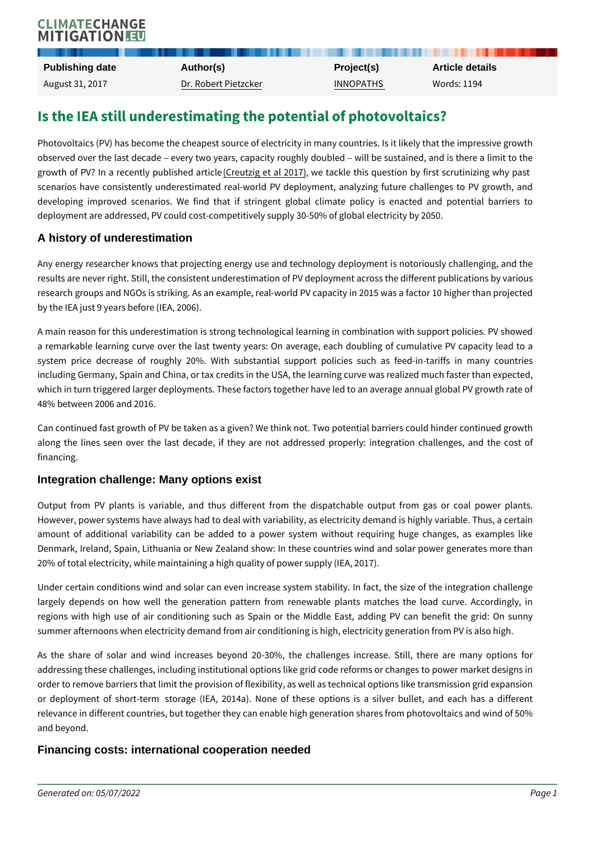# Is the IEA still underestimating the potential of pho

Photovoltaics (PV) has become the cheapest source of electricity in many coun observed over the last decade every two years, capacity roughly doubled w growth of PV? In a recent (Creublished and real 2018 of Ale this question by first scruti scenarios have consistently underestimated real-world PV deployment, analy; developing improved scenarios. We find that if stringent global climate p deployment are addressed, PV could cost-competitively supply 30-50% of global

#### A history of underestimation

Any energy researcher knows that projecting energy use and technology deplo results are never right. Still, the consistent underestimation of PV deployment research groups and NGOs is striking. As an example, real-world PV capacity i by the IEA just 9 years before (IEA, 2006).

A main reason for this underestimation is strong technological learning in com a remarkable learning curve over the last twenty years: On average, each do system price decrease of roughly 20%. With substantial support policies including Germany, Spain and China, or tax credits in the USA, the learning cu which in turn triggered larger deployments. These factors together have led to 48% between 2006 and 2016.

Can continued fast growth of PV be taken as a given? We think not. Two poten along the lines seen over the last decade, if they are not addressed prope financing.

### Integration challenge: Many options exist

Output from PV plants is variable, and thus different from the dispatchab However, power systems have always had to deal with variability, as electricity amount of additional variability can be added to a power system without r Denmark, Ireland, Spain, Lithuania or New Zealand show: In these countries v 20% of total electricity, while maintaining a high quality of power supply (IEA, 2017).

Under certain conditions wind and solar can even increase system stability. I largely depends on how well the generation pattern from renewable plants regions with high use of air conditioning such as Spain or the Middle East summer afternoons when electricity demand from air conditioning is high, electi

As the share of solar and wind increases beyond 20-30%, the challenges addressing these challenges, including institutional options like grid code refo order to remove barriers that limit the provision of flexibility, as well as techni or deployment of short-term storage (IEA, 2014a). None of these options relevance in different countries, but together they can enable high generation s and beyond.

Financing costs: international cooperation needed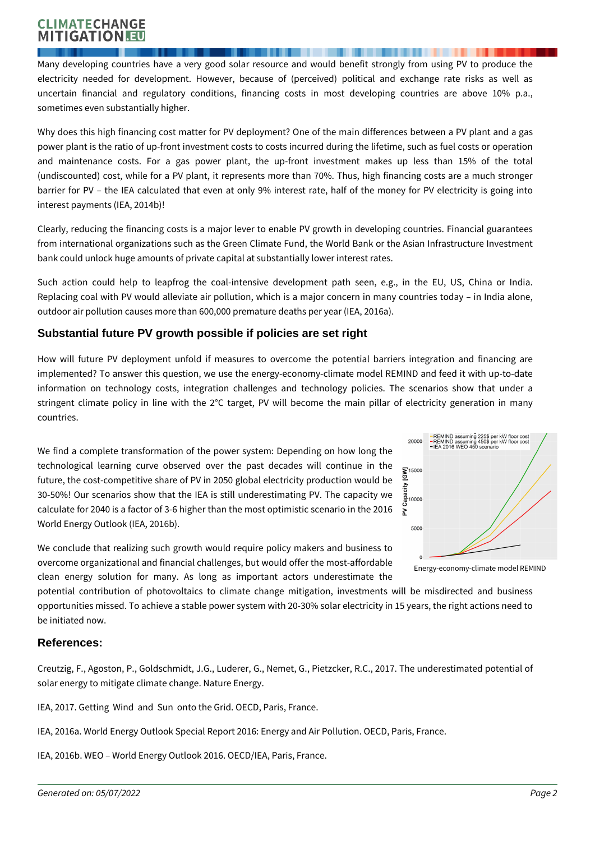## **CLIMATECHANGE MITIGATION**

Many developing countries have a very good solar resource and would benefit strongly from using PV to produce the electricity needed for development. However, because of (perceived) political and exchange rate risks as well as uncertain financial and regulatory conditions, financing costs in most developing countries are above 10% p.a., sometimes even substantially higher.

Why does this high financing cost matter for PV deployment? One of the main differences between a PV plant and a gas power plant is the ratio of up-front investment costs to costs incurred during the lifetime, such as fuel costs or operation and maintenance costs. For a gas power plant, the up-front investment makes up less than 15% of the total (undiscounted) cost, while for a PV plant, it represents more than 70%. Thus, high financing costs are a much stronger barrier for PV – the IEA calculated that even at only 9% interest rate, half of the money for PV electricity is going into interest payments (IEA, 2014b)!

Clearly, reducing the financing costs is a major lever to enable PV growth in developing countries. Financial guarantees from international organizations such as the Green Climate Fund, the World Bank or the Asian Infrastructure Investment bank could unlock huge amounts of private capital at substantially lower interest rates.

Such action could help to leapfrog the coal-intensive development path seen, e.g., in the EU, US, China or India. Replacing coal with PV would alleviate air pollution, which is a major concern in many countries today – in India alone, outdoor air pollution causes more than 600,000 premature deaths per year (IEA, 2016a).

## **Substantial future PV growth possible if policies are set right**

How will future PV deployment unfold if measures to overcome the potential barriers integration and financing are implemented? To answer this question, we use the energy-economy-climate model REMIND and feed it with up-to-date information on technology costs, integration challenges and technology policies. The scenarios show that under a stringent climate policy in line with the 2°C target, PV will become the main pillar of electricity generation in many countries.

We find a complete transformation of the power system: Depending on how long the technological learning curve observed over the past decades will continue in the future, the cost-competitive share of PV in 2050 global electricity production would be 30-50%! Our scenarios show that the IEA is still underestimating PV. The capacity we calculate for 2040 is a factor of 3-6 higher than the most optimistic scenario in the 2016 World Energy Outlook (IEA, 2016b).

We conclude that realizing such growth would require policy makers and business to overcome organizational and financial challenges, but would offer the most-affordable clean energy solution for many. As long as important actors underestimate the



Energy-economy-climate model REMIND

potential contribution of photovoltaics to climate change mitigation, investments will be misdirected and business opportunities missed. To achieve a stable power system with 20-30% solar electricity in 15 years, the right actions need to be initiated now.

## **References:**

Creutzig, F., Agoston, P., Goldschmidt, J.G., Luderer, G., Nemet, G., Pietzcker, R.C., 2017. The underestimated potential of solar energy to mitigate climate change. Nature Energy.

IEA, 2017. Getting Wind and Sun onto the Grid. OECD, Paris, France.

IEA, 2016a. World Energy Outlook Special Report 2016: Energy and Air Pollution. OECD, Paris, France.

IEA, 2016b. WEO – World Energy Outlook 2016. OECD/IEA, Paris, France.